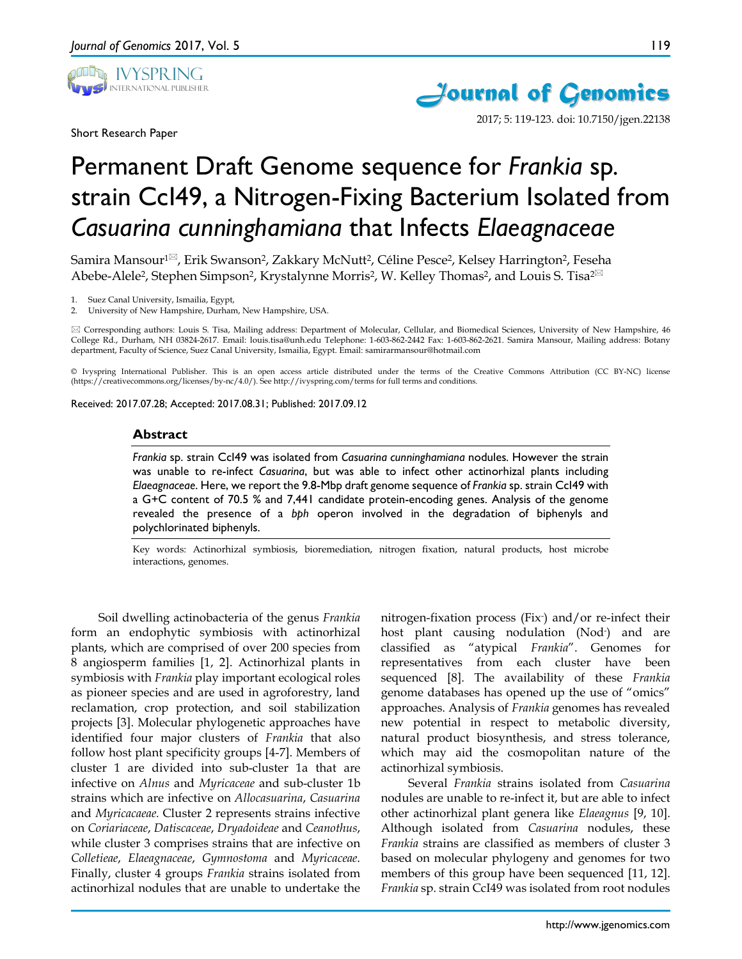

Short Research Paper



2017; 5: 119-123. doi: 10.7150/jgen.22138

# Permanent Draft Genome sequence for *Frankia* sp*.* strain CcI49, a Nitrogen-Fixing Bacterium Isolated from *Casuarina cunninghamiana* that Infects *Elaeagnaceae*

Samira Mansour<sup>1⊠</sup>, Erik Swanson<sup>2</sup>, Zakkary McNutt<sup>2</sup>, Céline Pesce<sup>2</sup>, Kelsey Harrington<sup>2</sup>, Feseha Abebe-Alele<sup>2</sup>, Stephen Simpson<sup>2</sup>, Krystalynne Morris<sup>2</sup>, W. Kelley Thomas<sup>2</sup>, and Louis S. Tisa<sup>2 $\boxtimes$ </sup>

Suez Canal University, Ismailia, Egypt,

2. University of New Hampshire, Durham, New Hampshire, USA.

 Corresponding authors: Louis S. Tisa, Mailing address: Department of Molecular, Cellular, and Biomedical Sciences, University of New Hampshire, 46 College Rd., Durham, NH 03824-2617. Email: louis.tisa@unh.edu Telephone: 1-603-862-2442 Fax: 1-603-862-2621. Samira Mansour, Mailing address: Botany department, Faculty of Science, Suez Canal University, Ismailia, Egypt. Email: samirarmansour@hotmail.com

© Ivyspring International Publisher. This is an open access article distributed under the terms of the Creative Commons Attribution (CC BY-NC) license (https://creativecommons.org/licenses/by-nc/4.0/). See http://ivyspring.com/terms for full terms and conditions.

Received: 2017.07.28; Accepted: 2017.08.31; Published: 2017.09.12

#### **Abstract**

*Frankia* sp. strain CcI49 was isolated from *Casuarina cunninghamiana* nodules*.* However the strain was unable to re-infect *Casuarina*, but was able to infect other actinorhizal plants including *Elaeagnaceae*. Here, we report the 9.8-Mbp draft genome sequence of *Frankia* sp. strain CcI49 with a G+C content of 70.5 % and 7,441 candidate protein-encoding genes. Analysis of the genome revealed the presence of a *bph* operon involved in the degradation of biphenyls and polychlorinated biphenyls.

Key words: Actinorhizal symbiosis, bioremediation, nitrogen fixation, natural products, host microbe interactions, genomes.

Soil dwelling actinobacteria of the genus *Frankia* form an endophytic symbiosis with actinorhizal plants, which are comprised of over 200 species from 8 angiosperm families [1, 2]. Actinorhizal plants in symbiosis with *Frankia* play important ecological roles as pioneer species and are used in agroforestry, land reclamation, crop protection, and soil stabilization projects [3]. Molecular phylogenetic approaches have identified four major clusters of *Frankia* that also follow host plant specificity groups [4-7]. Members of cluster 1 are divided into sub-cluster 1a that are infective on *Alnus* and *Myricaceae* and sub-cluster 1b strains which are infective on *Allocasuarina*, *Casuarina* and *Myricacaeae.* Cluster 2 represents strains infective on *Coriariaceae*, *Datiscaceae*, *Dryadoideae* and *Ceanothus*, while cluster 3 comprises strains that are infective on *Colletieae*, *Elaeagnaceae*, *Gymnostoma* and *Myricaceae*. Finally, cluster 4 groups *Frankia* strains isolated from actinorhizal nodules that are unable to undertake the

nitrogen-fixation process (Fix- ) and/or re-infect their host plant causing nodulation (Nod- ) and are classified as "atypical *Frankia*". Genomes for representatives from each cluster have been sequenced [8]. The availability of these *Frankia* genome databases has opened up the use of "omics" approaches. Analysis of *Frankia* genomes has revealed new potential in respect to metabolic diversity, natural product biosynthesis, and stress tolerance, which may aid the cosmopolitan nature of the actinorhizal symbiosis.

Several *Frankia* strains isolated from *Casuarina* nodules are unable to re-infect it, but are able to infect other actinorhizal plant genera like *Elaeagnus* [9, 10]. Although isolated from *Casuarina* nodules, these *Frankia* strains are classified as members of cluster 3 based on molecular phylogeny and genomes for two members of this group have been sequenced [11, 12]. *Frankia* sp. strain CcI49 was isolated from root nodules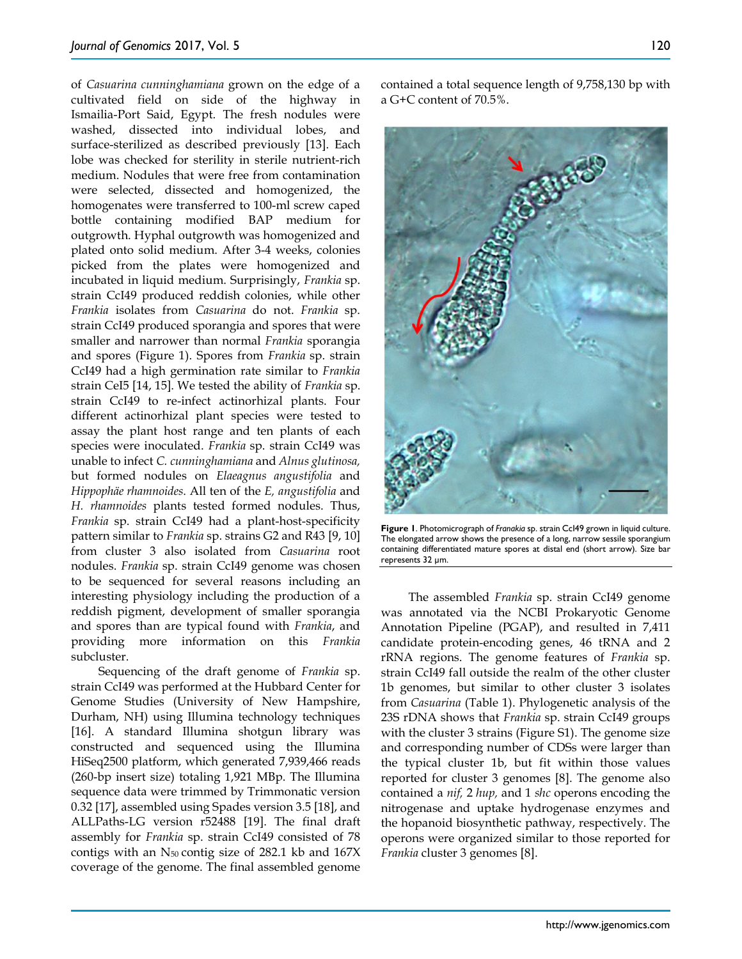of *Casuarina cunninghamiana* grown on the edge of a cultivated field on side of the highway in Ismailia-Port Said, Egypt. The fresh nodules were washed, dissected into individual lobes, and surface-sterilized as described previously [13]. Each lobe was checked for sterility in sterile nutrient-rich medium. Nodules that were free from contamination were selected, dissected and homogenized, the homogenates were transferred to 100-ml screw caped bottle containing modified BAP medium for outgrowth. Hyphal outgrowth was homogenized and plated onto solid medium. After 3-4 weeks, colonies picked from the plates were homogenized and incubated in liquid medium. Surprisingly, *Frankia* sp. strain CcI49 produced reddish colonies, while other *Frankia* isolates from *Casuarina* do not. *Frankia* sp. strain CcI49 produced sporangia and spores that were smaller and narrower than normal *Frankia* sporangia and spores (Figure 1). Spores from *Frankia* sp. strain CcI49 had a high germination rate similar to *Frankia* strain CeI5 [14, 15]. We tested the ability of *Frankia* sp. strain CcI49 to re-infect actinorhizal plants. Four different actinorhizal plant species were tested to assay the plant host range and ten plants of each species were inoculated. *Frankia* sp. strain CcI49 was unable to infect *C. cunninghamiana* and *Alnus glutinosa,*  but formed nodules on *Elaeagnus angustifolia* and *Hippophäe rhamnoides*. All ten of the *E, angustifolia* and *H. rhamnoides* plants tested formed nodules. Thus, *Frankia* sp. strain CcI49 had a plant-host-specificity pattern similar to *Frankia* sp. strains G2 and R43 [9, 10] from cluster 3 also isolated from *Casuarina* root nodules. *Frankia* sp. strain CcI49 genome was chosen to be sequenced for several reasons including an interesting physiology including the production of a reddish pigment, development of smaller sporangia and spores than are typical found with *Frankia*, and providing more information on this *Frankia* subcluster.

Sequencing of the draft genome of *Frankia* sp. strain CcI49 was performed at the Hubbard Center for Genome Studies (University of New Hampshire, Durham, NH) using Illumina technology techniques [16]. A standard Illumina shotgun library was constructed and sequenced using the Illumina HiSeq2500 platform, which generated 7,939,466 reads (260-bp insert size) totaling 1,921 MBp. The Illumina sequence data were trimmed by Trimmonatic version 0.32 [17], assembled using Spades version 3.5 [18], and ALLPaths-LG version r52488 [19]. The final draft assembly for *Frankia* sp. strain CcI49 consisted of 78 contigs with an  $N_{50}$  contig size of 282.1 kb and 167X coverage of the genome. The final assembled genome



**Figure 1**. Photomicrograph of *Franakia* sp. strain CcI49 grown in liquid culture. The elongated arrow shows the presence of a long, narrow sessile sporangium containing differentiated mature spores at distal end (short arrow). Size bar represents 32 µm.

The assembled *Frankia* sp. strain CcI49 genome was annotated via the NCBI Prokaryotic Genome Annotation Pipeline (PGAP), and resulted in 7,411 candidate protein-encoding genes, 46 tRNA and 2 rRNA regions. The genome features of *Frankia* sp. strain CcI49 fall outside the realm of the other cluster 1b genomes, but similar to other cluster 3 isolates from *Casuarina* (Table 1). Phylogenetic analysis of the 23S rDNA shows that *Frankia* sp. strain CcI49 groups with the cluster 3 strains (Figure S1). The genome size and corresponding number of CDSs were larger than the typical cluster 1b, but fit within those values reported for cluster 3 genomes [8]. The genome also contained a *nif,* 2 *hup,* and 1 *shc* operons encoding the nitrogenase and uptake hydrogenase enzymes and the hopanoid biosynthetic pathway, respectively. The operons were organized similar to those reported for *Frankia* cluster 3 genomes [8].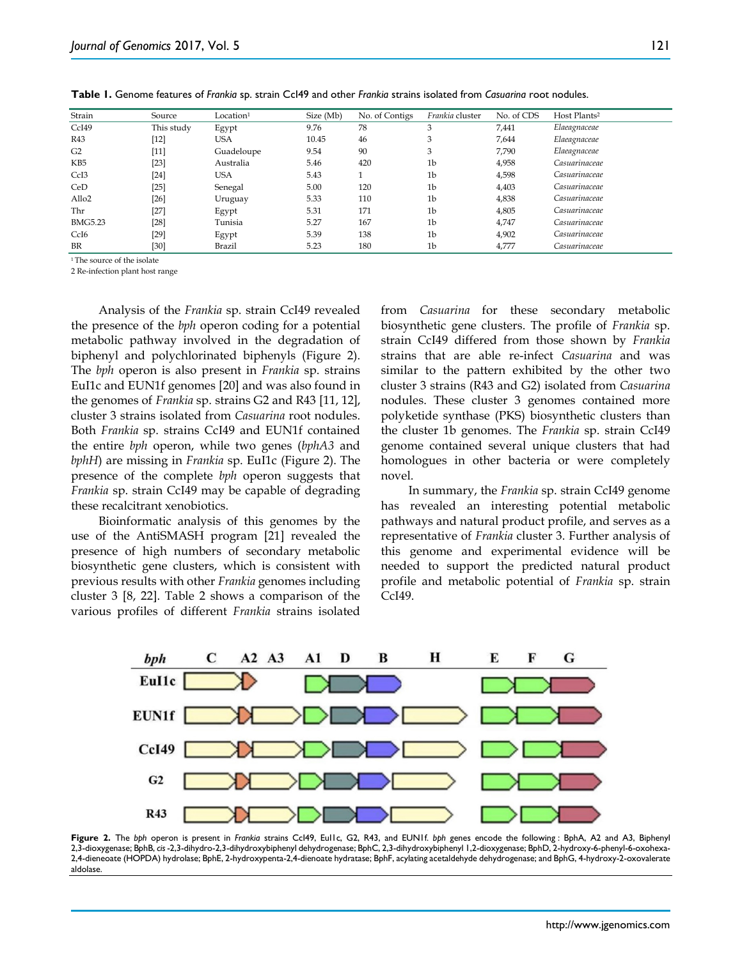| Strain            | Source     | Location <sup>1</sup> | Size (Mb) | No. of Contigs | Frankia cluster | No. of CDS | Host Plants <sup>2</sup> |
|-------------------|------------|-----------------------|-----------|----------------|-----------------|------------|--------------------------|
| CcI49             | This study | Egypt                 | 9.76      | 78             | 3               | 7,441      | Elaeagnaceae             |
| R43               | $[12]$     | USA                   | 10.45     | 46             | 3               | 7,644      | Elaeagnaceae             |
| G2                | $[11]$     | Guadeloupe            | 9.54      | 90             | 3               | 7,790      | Elaeagnaceae             |
| KB5               | $[23]$     | Australia             | 5.46      | 420            | 1 <sub>b</sub>  | 4,958      | Casuarinaceae            |
| CcI <sub>3</sub>  | $[24]$     | <b>USA</b>            | 5.43      |                | 1 <sub>b</sub>  | 4,598      | Casuarinaceae            |
| CeD               | $[25]$     | Senegal               | 5.00      | 120            | 1 <sub>b</sub>  | 4,403      | Casuarinaceae            |
| Allo <sub>2</sub> | $[26]$     | Uruguay               | 5.33      | 110            | 1 <sub>b</sub>  | 4,838      | Casuarinaceae            |
| Thr               | $[27]$     | Egypt                 | 5.31      | 171            | 1 <sub>b</sub>  | 4,805      | Casuarinaceae            |
| <b>BMG5.23</b>    | $[28]$     | Tunisia               | 5.27      | 167            | 1 <sub>b</sub>  | 4,747      | Casuarinaceae            |
| CcI <sub>6</sub>  | $[29]$     | Egypt                 | 5.39      | 138            | 1 <sub>b</sub>  | 4,902      | Casuarinaceae            |
| BR                | [30]       | <b>Brazil</b>         | 5.23      | 180            | 1b              | 4,777      | Casuarinaceae            |

**Table 1.** Genome features of *Frankia* sp. strain CcI49 and other *Frankia* strains isolated from *Casuarina* root nodules.

1 The source of the isolate

2 Re-infection plant host range

Analysis of the *Frankia* sp. strain CcI49 revealed the presence of the *bph* operon coding for a potential metabolic pathway involved in the degradation of biphenyl and polychlorinated biphenyls (Figure 2). The *bph* operon is also present in *Frankia* sp. strains EuI1c and EUN1f genomes [20] and was also found in the genomes of *Frankia* sp. strains G2 and R43 [11, 12], cluster 3 strains isolated from *Casuarina* root nodules. Both *Frankia* sp. strains CcI49 and EUN1f contained the entire *bph* operon, while two genes (*bphA3* and *bphH*) are missing in *Frankia* sp. EuI1c (Figure 2). The presence of the complete *bph* operon suggests that *Frankia* sp. strain CcI49 may be capable of degrading these recalcitrant xenobiotics.

Bioinformatic analysis of this genomes by the use of the AntiSMASH program [21] revealed the presence of high numbers of secondary metabolic biosynthetic gene clusters, which is consistent with previous results with other *Frankia* genomes including cluster 3 [8, 22]. Table 2 shows a comparison of the various profiles of different *Frankia* strains isolated from *Casuarina* for these secondary metabolic biosynthetic gene clusters. The profile of *Frankia* sp. strain CcI49 differed from those shown by *Frankia* strains that are able re-infect *Casuarina* and was similar to the pattern exhibited by the other two cluster 3 strains (R43 and G2) isolated from *Casuarina* nodules. These cluster 3 genomes contained more polyketide synthase (PKS) biosynthetic clusters than the cluster 1b genomes. The *Frankia* sp. strain CcI49 genome contained several unique clusters that had homologues in other bacteria or were completely novel.

In summary, the *Frankia* sp. strain CcI49 genome has revealed an interesting potential metabolic pathways and natural product profile, and serves as a representative of *Frankia* cluster 3. Further analysis of this genome and experimental evidence will be needed to support the predicted natural product profile and metabolic potential of *Frankia* sp. strain CcI49.



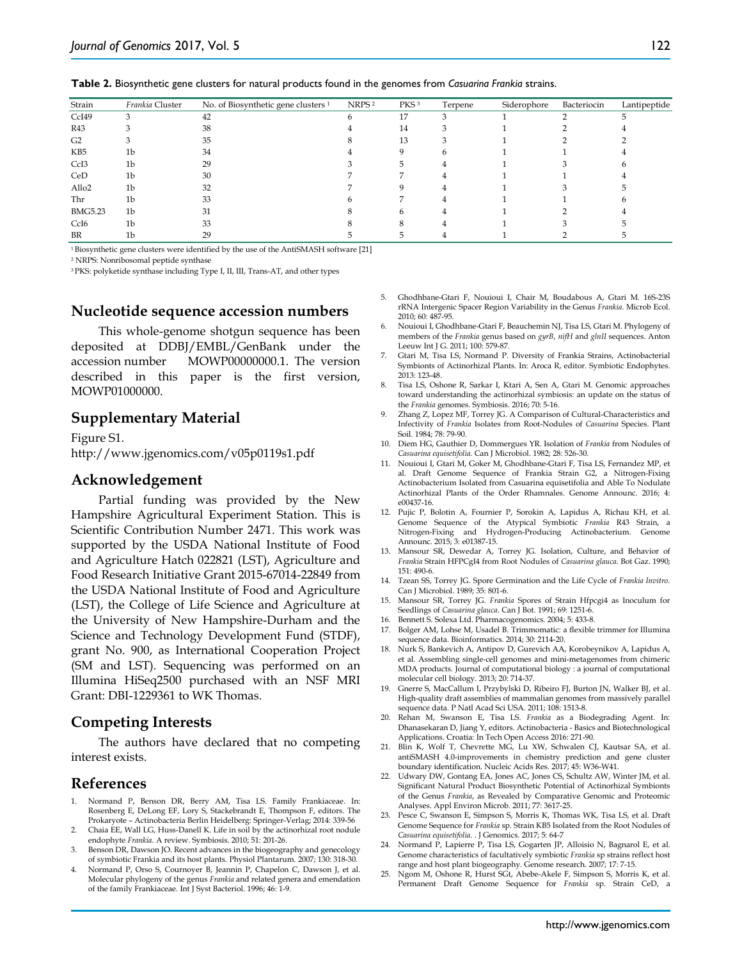| Strain            | Frankia Cluster | No. of Biosynthetic gene clusters <sup>1</sup> | NRPS <sup>2</sup> | PKS <sup>3</sup> | Terpene | Siderophore | Bacteriocin | Lantipeptide |
|-------------------|-----------------|------------------------------------------------|-------------------|------------------|---------|-------------|-------------|--------------|
| CcI49             | 3               | 42                                             |                   | 17               | 3       |             |             |              |
| R43               |                 | 38                                             |                   | 14               |         |             |             |              |
| G <sub>2</sub>    |                 | 35                                             |                   | 13               |         |             |             |              |
| KB <sub>5</sub>   | 1b              | 34                                             |                   |                  |         |             |             |              |
| CcI <sub>3</sub>  | 1b              | 29                                             |                   |                  |         |             |             |              |
| CeD               | 1 <sub>b</sub>  | 30                                             |                   |                  |         |             |             |              |
| Allo <sub>2</sub> | 1 <sub>b</sub>  | 32                                             |                   | Q                |         |             |             |              |
| Thr               | 1b              | 33                                             |                   |                  |         |             |             |              |
| <b>BMG5.23</b>    | 1b              | 31                                             |                   | h                |         |             |             |              |
| CcI <sub>6</sub>  | 1 <sub>b</sub>  | 33                                             |                   | 8                |         |             |             |              |
| BR                | 1b              | 29                                             |                   |                  |         |             |             |              |
|                   |                 |                                                |                   |                  |         |             |             |              |

**Table 2.** Biosynthetic gene clusters for natural products found in the genomes from *Casuarina Frankia* strains.

1 Biosynthetic gene clusters were identified by the use of the AntiSMASH software [21]

<sup>2</sup> NRPS: Nonribosomal peptide synthase

3 PKS: polyketide synthase including Type I, II, III, Trans-AT, and other types

## **Nucleotide sequence accession numbers**

This whole-genome shotgun sequence has been deposited at DDBJ/EMBL/GenBank under the accession number MOWP00000000.1. The version described in this paper is the first version, MOWP01000000.

## **Supplementary Material**

Figure S1. http://www.jgenomics.com/v05p0119s1.pdf

### **Acknowledgement**

Partial funding was provided by the New Hampshire Agricultural Experiment Station. This is Scientific Contribution Number 2471. This work was supported by the USDA National Institute of Food and Agriculture Hatch 022821 (LST), Agriculture and Food Research Initiative Grant 2015-67014-22849 from the USDA National Institute of Food and Agriculture (LST), the College of Life Science and Agriculture at the University of New Hampshire-Durham and the Science and Technology Development Fund (STDF), grant No. 900, as International Cooperation Project (SM and LST). Sequencing was performed on an Illumina HiSeq2500 purchased with an NSF MRI Grant: DBI-1229361 to WK Thomas.

## **Competing Interests**

The authors have declared that no competing interest exists.

#### **References**

- 1. Normand P, Benson DR, Berry AM, Tisa LS. Family Frankiaceae. In: Rosenberg E, DeLong EF, Lory S, Stackebrandt E, Thompson F, editors. The Prokaryote – Actinobacteria Berlin Heidelberg: Springer-Verlag; 2014: 339-56
- 2. Chaia EE, Wall LG, Huss-Danell K. Life in soil by the actinorhizal root nodule endophyte *Frankia*. A review. Symbiosis. 2010; 51: 201-26.
- Benson DR, Dawson JO. Recent advances in the biogeography and genecology of symbiotic Frankia and its host plants. Physiol Plantarum. 2007; 130: 318-30.
- Normand P, Orso S, Cournoyer B, Jeannin P, Chapelon C, Dawson J, et al. Molecular phylogeny of the genus *Frankia* and related genera and emendation of the family Frankiaceae. Int J Syst Bacteriol. 1996; 46: 1-9.
- 5. Ghodhbane-Gtari F, Nouioui I, Chair M, Boudabous A, Gtari M. 16S-23S rRNA Intergenic Spacer Region Variability in the Genus *Frankia*. Microb Ecol. 2010; 60: 487-95.
- 6. Nouioui I, Ghodhbane-Gtari F, Beauchemin NJ, Tisa LS, Gtari M. Phylogeny of members of the *Frankia* genus based on *gyrB*, *nifH* and *glnII* sequences. Anton Leeuw Int J G. 2011; 100: 579-87.
- 7. Gtari M, Tisa LS, Normand P. Diversity of Frankia Strains, Actinobacterial Symbionts of Actinorhizal Plants. In: Aroca R, editor. Symbiotic Endophytes. 2013: 123-48.
- 8. Tisa LS, Oshone R, Sarkar I, Ktari A, Sen A, Gtari M. Genomic approaches toward understanding the actinorhizal symbiosis: an update on the status of the *Frankia* genomes. Symbiosis. 2016; 70: 5-16.
- Zhang Z, Lopez MF, Torrey JG. A Comparison of Cultural-Characteristics and Infectivity of *Frankia* Isolates from Root-Nodules of *Casuarina* Species. Plant Soil. 1984; 78: 79-90.
- 10. Diem HG, Gauthier D, Dommergues YR. Isolation of *Frankia* from Nodules of *Casuarina equisetifolia*. Can J Microbiol. 1982; 28: 526-30.
- 11. Nouioui I, Gtari M, Goker M, Ghodhbane-Gtari F, Tisa LS, Fernandez MP, et al. Draft Genome Sequence of Frankia Strain G2, a Nitrogen-Fixing Actinobacterium Isolated from Casuarina equisetifolia and Able To Nodulate Actinorhizal Plants of the Order Rhamnales. Genome Announc. 2016; 4: e00437-16.
- 12. Pujic P, Bolotin A, Fournier P, Sorokin A, Lapidus A, Richau KH, et al. Genome Sequence of the Atypical Symbiotic *Frankia* R43 Strain, a Nitrogen-Fixing and Hydrogen-Producing Actinobacterium. Genome Announc. 2015; 3: e01387-15.
- 13. Mansour SR, Dewedar A, Torrey JG. Isolation, Culture, and Behavior of *Frankia* Strain HFPCgI4 from Root Nodules of *Casuarina glauca*. Bot Gaz. 1990; 151: 490-6.
- 14. Tzean SS, Torrey JG. Spore Germination and the Life Cycle of *Frankia Invitro*. Can J Microbiol. 1989; 35: 801-6.
- 15. Mansour SR, Torrey JG. *Frankia* Spores of Strain Hfpcgi4 as Inoculum for Seedlings of *Casuarina glauca*. Can J Bot. 1991; 69: 1251-6.
- 16. Bennett S. Solexa Ltd. Pharmacogenomics. 2004; 5: 433-8.
- 17. Bolger AM, Lohse M, Usadel B. Trimmomatic: a flexible trimmer for Illumina sequence data. Bioinformatics. 2014; 30: 2114-20.
- 18. Nurk S, Bankevich A, Antipov D, Gurevich AA, Korobeynikov A, Lapidus A, et al. Assembling single-cell genomes and mini-metagenomes from chimeric MDA products. Journal of computational biology : a journal of computational molecular cell biology. 2013; 20: 714-37.
- 19. Gnerre S, MacCallum I, Przybylski D, Ribeiro FJ, Burton JN, Walker BJ, et al. High-quality draft assemblies of mammalian genomes from massively parallel sequence data. P Natl Acad Sci USA. 2011; 108: 1513-8.
- 20. Rehan M, Swanson E, Tisa LS. *Frankia* as a Biodegrading Agent. In: Dhanasekaran D, Jiang Y, editors. Actinobacteria - Basics and Biotechnological Applications. Croatia: In Tech Open Access 2016: 271-90.
- 21. Blin K, Wolf T, Chevrette MG, Lu XW, Schwalen CJ, Kautsar SA, et al. antiSMASH 4.0-improvements in chemistry prediction and gene cluster boundary identification. Nucleic Acids Res. 2017; 45: W36-W41.
- 22. Udwary DW, Gontang EA, Jones AC, Jones CS, Schultz AW, Winter JM, et al. Significant Natural Product Biosynthetic Potential of Actinorhizal Symbionts of the Genus *Frankia*, as Revealed by Comparative Genomic and Proteomic Analyses. Appl Environ Microb. 2011; 77: 3617-25.
- 23. Pesce C, Swanson E, Simpson S, Morris K, Thomas WK, Tisa LS, et al. Draft Genome Sequence for *Frankia* sp. Strain KB5 Isolated from the Root Nodules of *Casuarina equisetifolia*. . J Genomics. 2017; 5: 64-7
- 24. Normand P, Lapierre P, Tisa LS, Gogarten JP, Alloisio N, Bagnarol E, et al. Genome characteristics of facultatively symbiotic *Frankia* sp strains reflect host range and host plant biogeography. Genome research. 2007; 17: 7-15.
- 25. Ngom M, Oshone R, Hurst SGt, Abebe-Akele F, Simpson S, Morris K, et al. Permanent Draft Genome Sequence for *Frankia* sp. Strain CeD, a